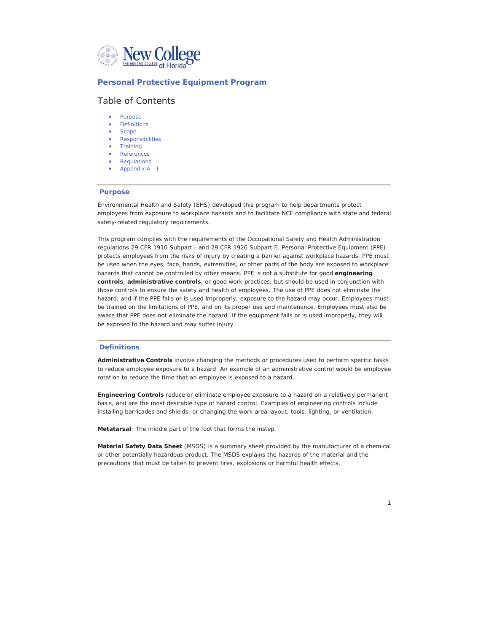

## **Personal Protective Equipment Program**

# Table of Contents

- Purpose
- **Definitions**
- **Scope** • Responsibilities
- **Training**
- References
- Regulations
- x Appendix A I

#### **Purpose**

Environmental Health and Safety (EHS) developed this program to help departments protect employees from exposure to workplace hazards and to facilitate NCF compliance with state and federal safety-related regulatory requirements.

This program complies with the requirements of the Occupational Safety and Health Administration regulations 29 CFR 1910 Subpart I and 29 CFR 1926 Subpart E. Personal Protective Equipment (PPE) protects employees from the risks of injury by creating a barrier against workplace hazards. PPE must be used when the eyes, face, hands, extremities, or other parts of the body are exposed to workplace hazards that cannot be controlled by other means. PPE is not a substitute for good *engineering control***s**, *administrative control***s**, or good work practices, but should be used in conjunction with those controls to ensure the safety and health of employees. The use of PPE does not eliminate the hazard, and if the PPE fails or is used improperly, exposure to the hazard may occur. Employees must be trained on the limitations of PPE, and on its proper use and maintenance. Employees must also be aware that PPE does not eliminate the hazard. If the equipment fails or is used improperly, they will be exposed to the hazard and may suffer injury.

## **Definitions**

*Administrative Controls* involve changing the methods or procedures used to perform specific tasks to reduce employee exposure to a hazard. An example of an administrative control would be employee rotation to reduce the time that an employee is exposed to a hazard.

*Engineering Controls* reduce or eliminate employee exposure to a hazard on a relatively permanent basis, and are the most desirable type of hazard control. Examples of engineering controls include installing barricades and shields, or changing the work area layout, tools, lighting, or ventilation.

*Metatarsa***l**: The middle part of the foot that forms the instep.

*Material Safety Data Sheet* (MSDS) is a summary sheet provided by the manufacturer of a chemical or other potentially hazardous product. The MSDS explains the hazards of the material and the precautions that must be taken to prevent fires, explosions or harmful health effects.

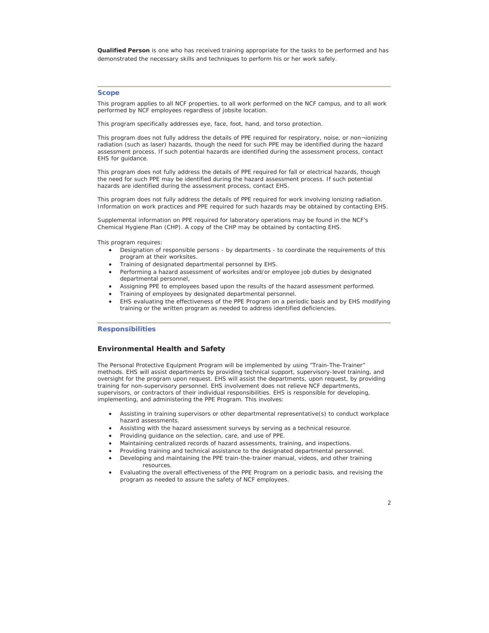**Qualified Person** is one who has received training appropriate for the tasks to be performed and has demonstrated the necessary skills and techniques to perform his or her work safely.

## **Scope**

This program applies to all NCF properties, to all work performed on the NCF campus, and to all work performed by NCF employees regardless of jobsite location.

This program specifically addresses eye, face, foot, hand, and torso protection.

This program does not fully address the details of PPE required for respiratory, noise, or non¬ionizing radiation (such as laser) hazards, though the need for such PPE may be identified during the hazard assessment process. If such potential hazards are identified during the assessment process, contact EHS for guidance.

This program does not fully address the details of PPE required for fall or electrical hazards, though the need for such PPE may be identified during the hazard assessment process. If such potential hazards are identified during the assessment process, contact EHS.

This program does not fully address the details of PPE required for work involving ionizing radiation. Information on work practices and PPE required for such hazards may be obtained by contacting EHS.

Supplemental information on PPE required for laboratory operations may be found in the NCF's Chemical Hygiene Plan (CHP). A copy of the CHP may be obtained by contacting EHS.

This program requires:

- Designation of responsible persons by departments to coordinate the requirements of this program at their worksites.
- Training of designated departmental personnel by EHS.
- Performing a hazard assessment of worksites and/or employee job duties by designated departmental personnel,
- Assigning PPE to employees based upon the results of the hazard assessment performed.
- Training of employees by designated departmental personnel.
- EHS evaluating the effectiveness of the PPE Program on a periodic basis and by EHS modifying training or the written program as needed to address identified deficiencies.

## **Responsibilities**

## **Environmental Health and Safety**

The Personal Protective Equipment Program will be implemented by using "Train-The-Trainer" methods. EHS will assist departments by providing technical support, supervisory-level training, and oversight for the program upon request. EHS will assist the departments, upon request, by providing training for non-supervisory personnel. EHS involvement does not relieve NCF departments, supervisors, or contractors of their individual responsibilities. EHS is responsible for developing, implementing, and administering the PPE Program. This involves:

- Assisting in training supervisors or other departmental representative(s) to conduct workplace hazard assessments.
- Assisting with the hazard assessment surveys by serving as a technical resource.
- Providing guidance on the selection, care, and use of PPE.
- Maintaining centralized records of hazard assessments, training, and inspections.
- Providing training and technical assistance to the designated departmental personnel.
- Developing and maintaining the PPE train-the-trainer manual, videos, and other training resources.
- Evaluating the overall effectiveness of the PPE Program on a periodic basis, and revising the program as needed to assure the safety of NCF employees.

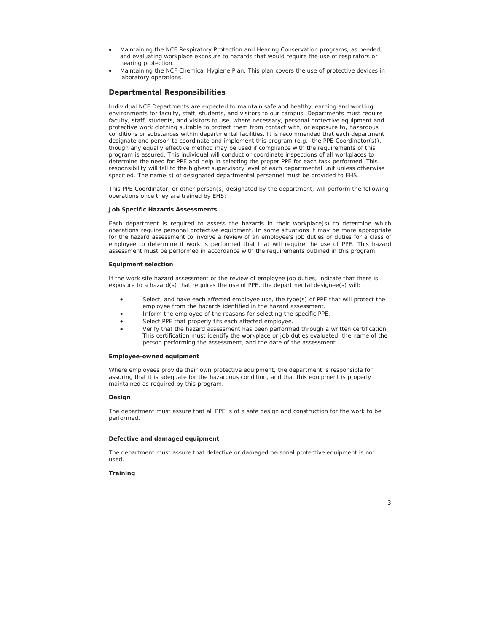- x Maintaining the NCF Respiratory Protection and Hearing Conservation programs, as needed, and evaluating workplace exposure to hazards that would require the use of respirators or hearing protection.
- Maintaining the NCF Chemical Hygiene Plan. This plan covers the use of protective devices in laboratory operations.

## **Departmental Responsibilities**

Individual NCF Departments are expected to maintain safe and healthy learning and working environments for faculty, staff, students, and visitors to our campus. Departments must require faculty, staff, students, and visitors to use, where necessary, personal protective equipment and protective work clothing suitable to protect them from contact with, or exposure to, hazardous conditions or substances within departmental facilities. It is recommended that each department designate one person to coordinate and implement this program (e.g., the PPE Coordinator(s)), though any equally effective method may be used if compliance with the requirements of this program is assured. This individual will conduct or coordinate inspections of all workplaces to determine the need for PPE and help in selecting the proper PPE for each task performed. This responsibility will fall to the highest supervisory level of each departmental unit unless otherwise specified. The name(s) of designated departmental personnel must be provided to EHS.

This PPE Coordinator, or other person(s) designated by the department, will perform the following operations once they are trained by EHS:

## ҏ**Job Specific Hazards Assessments**

Each department is required to assess the hazards in their workplace(s) to determine which operations require personal protective equipment. In some situations it may be more appropriate for the hazard assessment to involve a review of an employee's job duties or duties for a class of employee to determine if work is performed that that will require the use of PPE. This hazard assessment must be performed in accordance with the requirements outlined in this program.

#### **Equipment selection**

If the work site hazard assessment or the review of employee job duties, indicate that there is exposure to a hazard(s) that requires the use of PPE, the departmental designee(s) will:

- Select, and have each affected employee use, the type(s) of PPE that will protect the employee from the hazards identified in the hazard assessment.
- Inform the employee of the reasons for selecting the specific PPE.
- Select PPE that properly fits each affected employee.
- x Verify that the hazard assessment has been performed through a written certification. This certification must identify the workplace or job duties evaluated, the name of the person performing the assessment, and the date of the assessment.

## ҏ**Employee-owned equipment**

Where employees provide their own protective equipment, the department is responsible for assuring that it is adequate for the hazardous condition, and that this equipment is properly maintained as required by this program.

#### ҏ**Design**

The department must assure that all PPE is of a safe design and construction for the work to be performed.

## ҏ**Defective and damaged equipment**

The department must assure that defective or damaged personal protective equipment is not used.

## **Training**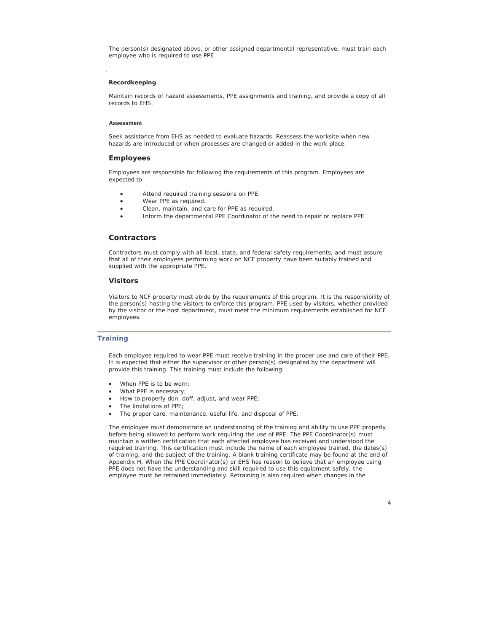The person(s) designated above, or other assigned departmental representative, must train each employee who is required to use PPE.

## **Recordkeeping**

Maintain records of hazard assessments, PPE assignments and training, and provide a copy of all records to EHS.

#### ҏ**Assessment**

Seek assistance from EHS as needed to evaluate hazards. Reassess the worksite when new hazards are introduced or when processes are changed or added in the work place.

## **Employees**

Employees are responsible for following the requirements of this program. Employees are expected to:

- Attend required training sessions on PPE.
- Wear PPE as required.
- Clean, maintain, and care for PPE as required.
- Inform the departmental PPE Coordinator of the need to repair or replace PPE

#### **Contractors**

Contractors must comply with all local, state, and federal safety requirements, and must assure that all of their employees performing work on NCF property have been suitably trained and supplied with the appropriate PPE.

## **Visitors**

Visitors to NCF property must abide by the requirements of this program. It is the responsibility of the person(s) hosting the visitors to enforce this program. PPE used by visitors, whether provided by the visitor or the host department, must meet the minimum requirements established for NCF employees.

## **Training**

Each employee required to wear PPE must receive training in the proper use and care of their PPE. It is expected that either the supervisor or other person(s) designated by the department will provide this training. This training must include the following:

- When PPE is to be worn;
- What PPE is necessary;
- How to properly don, doff, adjust, and wear PPE;
- The limitations of PPE;
- The proper care, maintenance, useful life, and disposal of PPE.

The employee must demonstrate an understanding of the training and ability to use PPE properly before being allowed to perform work requiring the use of PPE. The PPE Coordinator(s) must maintain a written certification that each affected employee has received and understood the required training. This certification must include the name of each employee trained, the dates(s) of training, and the subject of the training. A blank training certificate may be found at the end of Appendix H. When the PPE Coordinator(s) or EHS has reason to believe that an employee using PPE does not have the understanding and skill required to use this equipment safely, the employee must be retrained immediately. Retraining is also required when changes in the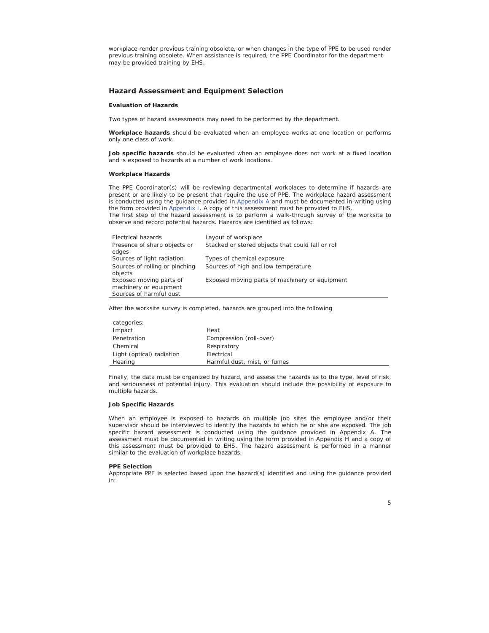workplace render previous training obsolete, or when changes in the type of PPE to be used render previous training obsolete. When assistance is required, the PPE Coordinator for the department may be provided training by EHS.

## **Hazard Assessment and Equipment Selection**

## **Evaluation of Hazards**

Two types of hazard assessments may need to be performed by the department.

*Workplace hazards* should be evaluated when an employee works at one location or performs only one class of work.

Job specific hazards should be evaluated when an employee does not work at a fixed location and is exposed to hazards at a number of work locations.

#### **Workplace Hazards**

The PPE Coordinator(s) will be reviewing departmental workplaces to determine if hazards are present or are likely to be present that require the use of PPE. The workplace hazard assessment is conducted using the guidance provided in Appendix A and must be documented in writing using the form provided in Appendix I. A copy of this assessment must be provided to EHS. The first step of the hazard assessment is to perform a walk-through survey of the worksite to observe and record potential hazards. Hazards are identified as follows:

| Electrical hazards                                | Layout of workplace                               |
|---------------------------------------------------|---------------------------------------------------|
| Presence of sharp objects or<br>edges             | Stacked or stored objects that could fall or roll |
|                                                   |                                                   |
| Sources of light radiation                        | Types of chemical exposure                        |
| Sources of rolling or pinching<br>objects         | Sources of high and low temperature               |
| Exposed moving parts of<br>machinery or equipment | Exposed moving parts of machinery or equipment    |
| Sources of harmful dust                           |                                                   |

After the worksite survey is completed, hazards are grouped into the following

| categories:               |                              |
|---------------------------|------------------------------|
| Impact                    | Heat                         |
| Penetration               | Compression (roll-over)      |
| Chemical                  | Respiratory                  |
| Light (optical) radiation | Electrical                   |
| Hearing                   | Harmful dust, mist, or fumes |

Finally, the data must be organized by hazard, and assess the hazards as to the type, level of risk, and seriousness of potential injury. This evaluation should include the possibility of exposure to multiple hazards.

## **Job Specific Hazards**

When an employee is exposed to hazards on multiple job sites the employee and/or their supervisor should be interviewed to identify the hazards to which he or she are exposed. The job specific hazard assessment is conducted using the guidance provided in Appendix A. The assessment must be documented in writing using the form provided in Appendix H and a copy of this assessment must be provided to EHS. The hazard assessment is performed in a manner similar to the evaluation of workplace hazards.

#### **PPE Selection**

Appropriate PPE is selected based upon the hazard(s) identified and using the guidance provided in: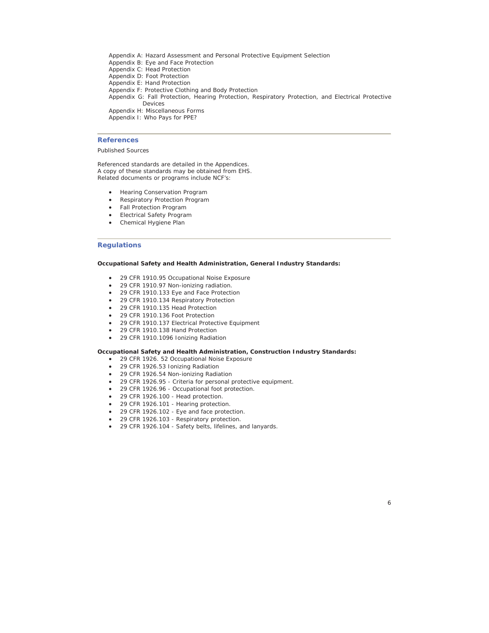Appendix A: Hazard Assessment and Personal Protective Equipment Selection Appendix B: Eye and Face Protection Appendix C: Head Protection Appendix D: Foot Protection Appendix E: Hand Protection Appendix F: Protective Clothing and Body Protection Appendix G: Fall Protection, Hearing Protection, Respiratory Protection, and Electrical Protective Devices Appendix H: Miscellaneous Forms Appendix I: Who Pays for PPE?

## **References**

## Published Sources

Referenced standards are detailed in the Appendices. A copy of these standards may be obtained from EHS. Related documents or programs include NCF's:

- Hearing Conservation Program
- Respiratory Protection Program
- Fall Protection Program
- Electrical Safety Program
- Chemical Hygiene Plan

## **Regulations**

## **Occupational Safety and Health Administration, General Industry Standards:**

- 29 CFR 1910.95 Occupational Noise Exposure
- 29 CFR 1910.97 Non-ionizing radiation.
- 29 CFR 1910.133 Eye and Face Protection
- 29 CFR 1910.134 Respiratory Protection
- 29 CFR 1910.135 Head Protection
- 29 CFR 1910.136 Foot Protection
- 29 CFR 1910.137 Electrical Protective Equipment
- 29 CFR 1910.138 Hand Protection
- 29 CFR 1910.1096 Ionizing Radiation

## **Occupational Safety and Health Administration, Construction Industry Standards:**

- 29 CFR 1926. 52 Occupational Noise Exposure
- 29 CFR 1926.53 Ionizing Radiation
- 29 CFR 1926.54 Non-ionizing Radiation
- 29 CFR 1926.95 Criteria for personal protective equipment.
- 29 CFR 1926.96 Occupational foot protection.
- 29 CFR 1926.100 Head protection.
- 29 CFR 1926.101 Hearing protection.
- 29 CFR 1926.102 Eye and face protection.
- 29 CFR 1926.103 Respiratory protection.
- 29 CFR 1926.104 Safety belts, lifelines, and lanyards.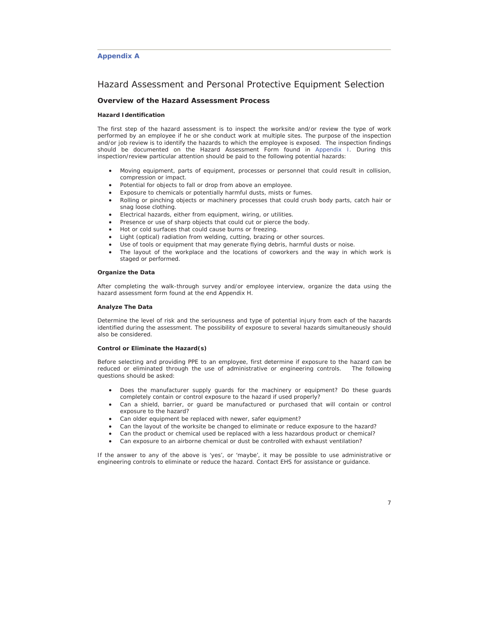## **Appendix A**

## Hazard Assessment and Personal Protective Equipment Selection

## **Overview of the Hazard Assessment Process**

#### **Hazard Identification**

The first step of the hazard assessment is to inspect the worksite and/or review the type of work performed by an employee if he or she conduct work at multiple sites. The purpose of the inspection and/or job review is to identify the hazards to which the employee is exposed. The inspection findings should be documented on the Hazard Assessment Form found in Appendix I. During this inspection/review particular attention should be paid to the following potential hazards:

- x Moving equipment, parts of equipment, processes or personnel that could result in collision, compression or impact.
- Potential for objects to fall or drop from above an employee.
- Exposure to chemicals or potentially harmful dusts, mists or fumes.
- x Rolling or pinching objects or machinery processes that could crush body parts, catch hair or snag loose clothing.
- **•** Electrical hazards, either from equipment, wiring, or utilities.
- Presence or use of sharp objects that could cut or pierce the body.
- Hot or cold surfaces that could cause burns or freezing.
- Light (optical) radiation from welding, cutting, brazing or other sources.
- Use of tools or equipment that may generate flying debris, harmful dusts or noise.
- The layout of the workplace and the locations of coworkers and the way in which work is staged or performed.

## **Organize the Data**

After completing the walk-through survey and/or employee interview, organize the data using the hazard assessment form found at the end Appendix H.

#### **Analyze The Data**

Determine the level of risk and the seriousness and type of potential injury from each of the hazards identified during the assessment. The possibility of exposure to several hazards simultaneously should also be considered.

## **Control or Eliminate the Hazard(s)**

Before selecting and providing PPE to an employee, first determine if exposure to the hazard can be reduced or eliminated through the use of administrative or engineering controls. The following questions should be asked:

- Does the manufacturer supply guards for the machinery or equipment? Do these guards completely contain or control exposure to the hazard if used properly?
- Can a shield, barrier, or guard be manufactured or purchased that will contain or control exposure to the hazard?
- Can older equipment be replaced with newer, safer equipment?
- Can the layout of the worksite be changed to eliminate or reduce exposure to the hazard?
- Can the product or chemical used be replaced with a less hazardous product or chemical?
- Can exposure to an airborne chemical or dust be controlled with exhaust ventilation?

If the answer to any of the above is 'yes', or 'maybe', it may be possible to use administrative or engineering controls to eliminate or reduce the hazard. Contact EHS for assistance or guidance.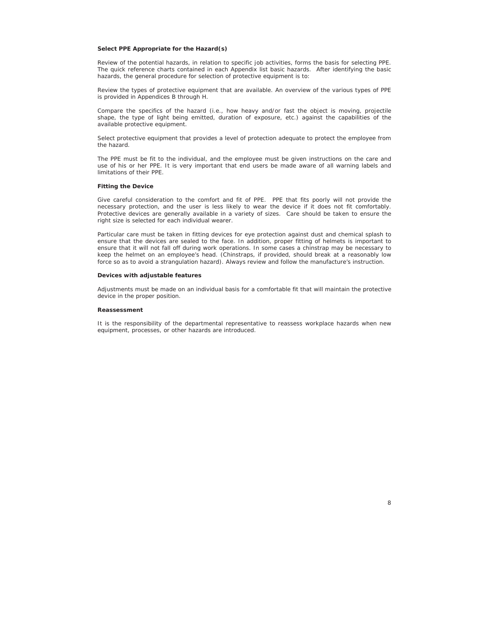#### **Select PPE Appropriate for the Hazard(s)**

Review of the potential hazards, in relation to specific job activities, forms the basis for selecting PPE. The quick reference charts contained in each Appendix list basic hazards. After identifying the basic hazards, the general procedure for selection of protective equipment is to:

Review the types of protective equipment that are available. An overview of the various types of PPE is provided in Appendices B through H.

Compare the specifics of the hazard (i.e., how heavy and/or fast the object is moving, projectile shape, the type of light being emitted, duration of exposure, etc.) against the capabilities of the available protective equipment.

Select protective equipment that provides a level of protection adequate to protect the employee from the hazard.

The PPE must be fit to the individual, and the employee must be given instructions on the care and use of his or her PPE. It is very important that end users be made aware of all warning labels and limitations of their PPE.

## **Fitting the Device**

Give careful consideration to the comfort and fit of PPE. PPE that fits poorly will not provide the necessary protection, and the user is less likely to wear the device if it does not fit comfortably. Protective devices are generally available in a variety of sizes. Care should be taken to ensure the right size is selected for each individual wearer.

Particular care must be taken in fitting devices for eye protection against dust and chemical splash to ensure that the devices are sealed to the face. In addition, proper fitting of helmets is important to ensure that it will not fall off during work operations. In some cases a chinstrap may be necessary to keep the helmet on an employee's head. (Chinstraps, if provided, should break at a reasonably low force so as to avoid a strangulation hazard). Always review and follow the manufacture's instruction.

## **Devices with adjustable features**

Adjustments must be made on an individual basis for a comfortable fit that will maintain the protective device in the proper position.

#### **Reassessment**

It is the responsibility of the departmental representative to reassess workplace hazards when new equipment, processes, or other hazards are introduced.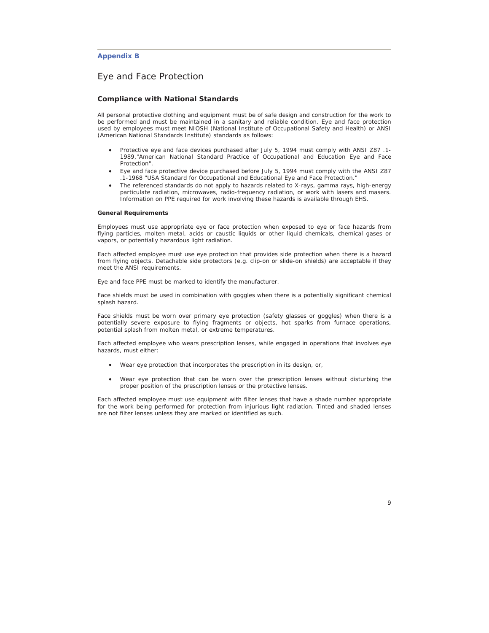## **Appendix B**

# Eye and Face Protection

## **Compliance with National Standards**

All personal protective clothing and equipment must be of safe design and construction for the work to be performed and must be maintained in a sanitary and reliable condition. Eye and face protection used by employees must meet NIOSH (National Institute of Occupational Safety and Health) or ANSI (American National Standards Institute) standards as follows:

- x Protective eye and face devices purchased after July 5, 1994 must comply with ANSI Z87 .1- 1989,"American National Standard Practice of Occupational and Education Eye and Face Protection".
- Eye and face protective device purchased before July 5, 1994 must comply with the ANSI Z87 .1-1968 "USA Standard for Occupational and Educational Eye and Face Protection."
- The referenced standards do not apply to hazards related to X-rays, gamma rays, high-energy particulate radiation, microwaves, radio-frequency radiation, or work with lasers and masers. Information on PPE required for work involving these hazards is available through EHS.

#### **General Requirements**

Employees must use appropriate eye or face protection when exposed to eye or face hazards from flying particles, molten metal, acids or caustic liquids or other liquid chemicals, chemical gases or vapors, or potentially hazardous light radiation.

Each affected employee must use eye protection that provides side protection when there is a hazard from flying objects. Detachable side protectors (e.g. clip-on or slide-on shields) are acceptable if they meet the ANSI requirements.

Eye and face PPE must be marked to identify the manufacturer.

Face shields must be used in combination with goggles when there is a potentially significant chemical splash hazard.

Face shields must be worn over primary eye protection (safety glasses or goggles) when there is a potentially severe exposure to flying fragments or objects, hot sparks from furnace operations, potential splash from molten metal, or extreme temperatures.

Each affected employee who wears prescription lenses, while engaged in operations that involves eye hazards, must either:

- Wear eye protection that incorporates the prescription in its design, or,
- Wear eye protection that can be worn over the prescription lenses without disturbing the proper position of the prescription lenses or the protective lenses.

Each affected employee must use equipment with filter lenses that have a shade number appropriate for the work being performed for protection from injurious light radiation. Tinted and shaded lenses are not filter lenses unless they are marked or identified as such.

 $\overline{Q}$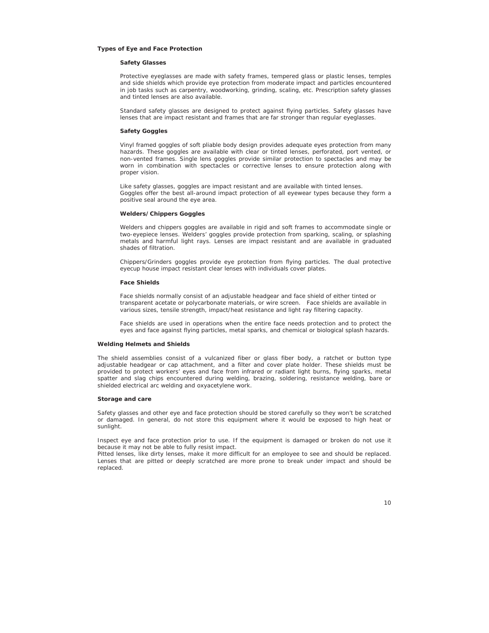## **Types of Eye and Face Protection**

#### **Safety Glasses**

Protective eyeglasses are made with safety frames, tempered glass or plastic lenses, temples and side shields which provide eye protection from moderate impact and particles encountered in job tasks such as carpentry, woodworking, grinding, scaling, etc. Prescription safety glasses and tinted lenses are also available.

Standard safety glasses are designed to protect against flying particles. Safety glasses have lenses that are impact resistant and frames that are far stronger than regular eyeglasses.

## **Safety Goggles**

Vinyl framed goggles of soft pliable body design provides adequate eyes protection from many hazards. These goggles are available with clear or tinted lenses, perforated, port vented, or non-vented frames. Single lens goggles provide similar protection to spectacles and may be worn in combination with spectacles or corrective lenses to ensure protection along with proper vision.

Like safety glasses, goggles are impact resistant and are available with tinted lenses. Goggles offer the best all-around impact protection of all eyewear types because they form a positive seal around the eye area.

## **Welders/Chippers Goggles**

Welders and chippers goggles are available in rigid and soft frames to accommodate single or two-eyepiece lenses. Welders' goggles provide protection from sparking, scaling, or splashing metals and harmful light rays. Lenses are impact resistant and are available in graduated shades of filtration.

Chippers/Grinders goggles provide eye protection from flying particles. The dual protective eyecup house impact resistant clear lenses with individuals cover plates.

#### **Face Shields**

Face shields normally consist of an adjustable headgear and face shield of either tinted or transparent acetate or polycarbonate materials, or wire screen. Face shields are available in various sizes, tensile strength, impact/heat resistance and light ray filtering capacity.

Face shields are used in operations when the entire face needs protection and to protect the eyes and face against flying particles, metal sparks, and chemical or biological splash hazards.

#### **Welding Helmets and Shields**

The shield assemblies consist of a vulcanized fiber or glass fiber body, a ratchet or button type adjustable headgear or cap attachment, and a filter and cover plate holder. These shields must be provided to protect workers' eyes and face from infrared or radiant light burns, flying sparks, metal spatter and slag chips encountered during welding, brazing, soldering, resistance welding, bare or shielded electrical arc welding and oxyacetylene work.

## **Storage and care**

Safety glasses and other eye and face protection should be stored carefully so they won't be scratched or damaged. In general, do not store this equipment where it would be exposed to high heat or sunlight.

Inspect eye and face protection prior to use. If the equipment is damaged or broken do not use it because it may not be able to fully resist impact.

Pitted lenses, like dirty lenses, make it more difficult for an employee to see and should be replaced. Lenses that are pitted or deeply scratched are more prone to break under impact and should be replaced.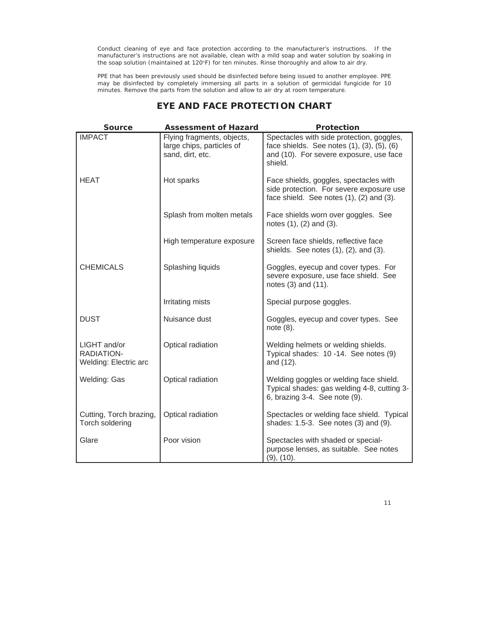Conduct cleaning of eye and face protection according to the manufacturer's instructions. If the manufacturer's instructions are not available, clean with a mild soap and water solution by soaking in the soap solution (maintained at  $120^{\circ}F$ ) for ten minutes. Rinse thoroughly and allow to air dry.

PPE that has been previously used should be disinfected before being issued to another employee. PPE may be disinfected by completely immersing all parts in a solution of germicidal fungicide for 10 minutes. Remove the parts from the solution and allow to air dry at room temperature.

| <b>Source</b>                                       | <b>Assessment of Hazard</b>                                                 | Protection                                                                                                                                    |
|-----------------------------------------------------|-----------------------------------------------------------------------------|-----------------------------------------------------------------------------------------------------------------------------------------------|
| <b>IMPACT</b>                                       | Flying fragments, objects,<br>large chips, particles of<br>sand, dirt, etc. | Spectacles with side protection, goggles,<br>face shields. See notes (1), (3), (5), (6)<br>and (10). For severe exposure, use face<br>shield. |
| <b>HEAT</b>                                         | Hot sparks                                                                  | Face shields, goggles, spectacles with<br>side protection. For severe exposure use<br>face shield. See notes (1), (2) and (3).                |
|                                                     | Splash from molten metals                                                   | Face shields worn over goggles. See<br>notes (1), (2) and (3).                                                                                |
|                                                     | High temperature exposure                                                   | Screen face shields, reflective face<br>shields. See notes $(1)$ , $(2)$ , and $(3)$ .                                                        |
| <b>CHEMICALS</b>                                    | Splashing liquids                                                           | Goggles, eyecup and cover types. For<br>severe exposure, use face shield. See<br>notes (3) and (11).                                          |
|                                                     | Irritating mists                                                            | Special purpose goggles.                                                                                                                      |
| <b>DUST</b>                                         | Nuisance dust                                                               | Goggles, eyecup and cover types. See<br>note (8).                                                                                             |
| LIGHT and/or<br>RADIATION-<br>Welding: Electric arc | Optical radiation                                                           | Welding helmets or welding shields.<br>Typical shades: 10 -14. See notes (9)<br>and (12).                                                     |
| Welding: Gas                                        | Optical radiation                                                           | Welding goggles or welding face shield.<br>Typical shades: gas welding 4-8, cutting 3-<br>6, brazing 3-4. See note (9).                       |
| Cutting, Torch brazing,<br>Torch soldering          | Optical radiation                                                           | Spectacles or welding face shield. Typical<br>shades: 1.5-3. See notes (3) and (9).                                                           |
| Glare                                               | Poor vision                                                                 | Spectacles with shaded or special-<br>purpose lenses, as suitable. See notes<br>(9), (10).                                                    |

# **EYE AND FACE PROTECTION CHART**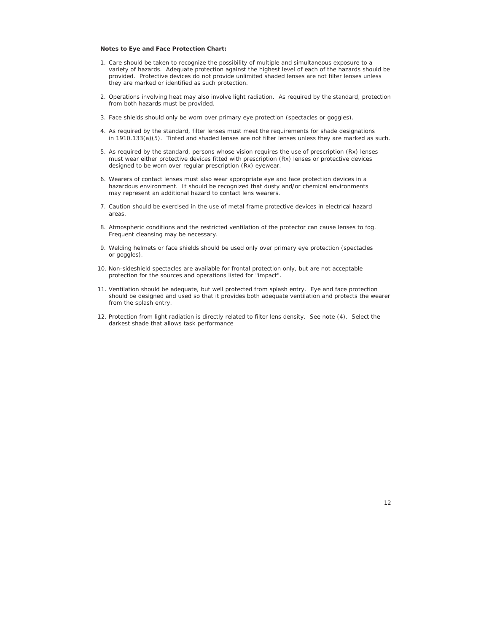## **Notes to Eye and Face Protection Chart:**

- 1. Care should be taken to recognize the possibility of multiple and simultaneous exposure to a variety of hazards. Adequate protection against the highest level of each of the hazards should be provided. Protective devices do not provide unlimited shaded lenses are *not* filter lenses unless they are marked or identified as such protection.
- 2. Operations involving heat may also involve light radiation. As required by the standard, protection from both hazards must be provided.
- 3. Face shields should only be worn over primary eye protection (spectacles or goggles).
- 4. As required by the standard, filter lenses must meet the requirements for shade designations in 1910.133(a)(5). Tinted and shaded lenses are not filter lenses unless they are marked as such.
- 5. As required by the standard, persons whose vision requires the use of prescription (Rx) lenses must wear either protective devices fitted with prescription (Rx) lenses or protective devices designed to be worn over regular prescription (Rx) eyewear.
- 6. Wearers of contact lenses must also wear appropriate eye and face protection devices in a hazardous environment. It should be recognized that dusty and/or chemical environments may represent an additional hazard to contact lens wearers.
- 7. Caution should be exercised in the use of metal frame protective devices in electrical hazard areas.
- 8. Atmospheric conditions and the restricted ventilation of the protector can cause lenses to fog. Frequent cleansing may be necessary.
- 9. Welding helmets or face shields should be used only over primary eye protection (spectacles or goggles).
- 10. Non-sideshield spectacles are available for frontal protection only, but are not acceptable protection for the sources and operations listed for "impact".
- 11. Ventilation should be adequate, but well protected from splash entry. Eye and face protection should be designed and used so that it provides both adequate ventilation and protects the wearer from the splash entry.
- 12. Protection from light radiation is directly related to filter lens density. See note (4). Select the darkest shade that allows task performance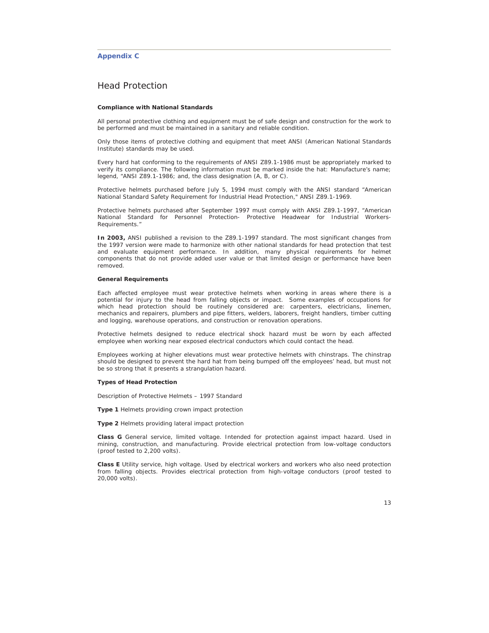## **Appendix C**

# Head Protection

#### **Compliance with National Standards**

All personal protective clothing and equipment must be of safe design and construction for the work to be performed and must be maintained in a sanitary and reliable condition.

Only those items of protective clothing and equipment that meet ANSI (American National Standards Institute) standards may be used.

Every hard hat conforming to the requirements of ANSI Z89.1-1986 must be appropriately marked to verify its compliance. The following information must be marked inside the hat: Manufacture's name; legend, "ANSI Z89.1-1986; and, the class designation (A, B, or C).

Protective helmets purchased before July 5, 1994 must comply with the ANSI standard "American National Standard Safety Requirement for Industrial Head Protection," ANSI Z89.1-1969.

Protective helmets purchased after September 1997 must comply with ANSI Z89.1-1997, "American National Standard for Personnel Protection- Protective Headwear for Industrial Workers-Requirements."

**In 2003,** ANSI published a revision to the Z89.1-1997 standard. The most significant changes from the 1997 version were made to harmonize with other national standards for head protection that test and evaluate equipment performance. In addition, many physical requirements for helmet components that do not provide added user value or that limited design or performance have been removed.

#### **General Requirements**

Each affected employee must wear protective helmets when working in areas where there is a potential for injury to the head from falling objects or impact. Some examples of occupations for which head protection should be routinely considered are: carpenters, electricians, linemen, mechanics and repairers, plumbers and pipe fitters, welders, laborers, freight handlers, timber cutting and logging, warehouse operations, and construction or renovation operations.

Protective helmets designed to reduce electrical shock hazard must be worn by each affected employee when working near exposed electrical conductors which could contact the head.

Employees working at higher elevations must wear protective helmets with chinstraps. The chinstrap should be designed to prevent the hard hat from being bumped off the employees' head, but must not be so strong that it presents a strangulation hazard.

#### **Types of Head Protection**

Description of Protective Helmets – 1997 Standard

**Type 1** Helmets providing crown impact protection

**Type 2** Helmets providing lateral impact protection

**Class G** General service, limited voltage. Intended for protection against impact hazard. Used in mining, construction, and manufacturing. Provide electrical protection from low-voltage conductors (proof tested to 2,200 volts).

**Class E** Utility service, high voltage. Used by electrical workers and workers who also need protection from falling objects. Provides electrical protection from high-voltage conductors (proof tested to 20,000 volts).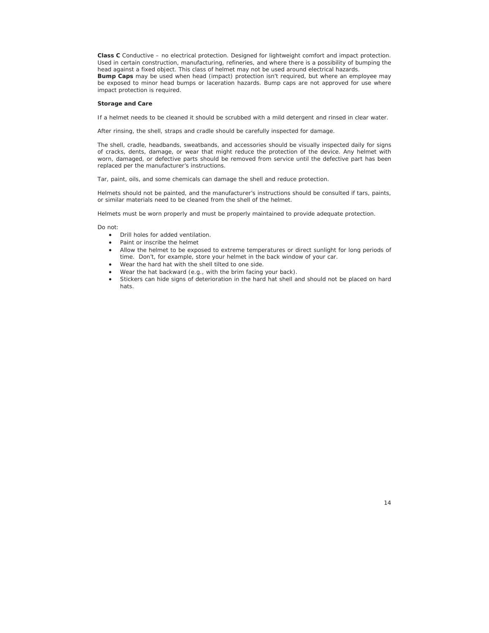**Class C** Conductive – no electrical protection. Designed for lightweight comfort and impact protection. Used in certain construction, manufacturing, refineries, and where there is a possibility of bumping the head against a fixed object. This class of helmet may not be used around electrical hazards.

**Bump Caps** may be used when head (impact) protection isn't required, but where an employee may be exposed to minor head bumps or laceration hazards. Bump caps are not approved for use where impact protection is required.

## **Storage and Care**

If a helmet needs to be cleaned it should be scrubbed with a mild detergent and rinsed in clear water.

After rinsing, the shell, straps and cradle should be carefully inspected for damage.

The shell, cradle, headbands, sweatbands, and accessories should be visually inspected daily for signs of cracks, dents, damage, or wear that might reduce the protection of the device. Any helmet with worn, damaged, or defective parts should be removed from service until the defective part has been replaced per the manufacturer's instructions.

Tar, paint, oils, and some chemicals can damage the shell and reduce protection.

Helmets should not be painted, and the manufacturer's instructions should be consulted if tars, paints, or similar materials need to be cleaned from the shell of the helmet.

Helmets must be worn properly and must be properly maintained to provide adequate protection.

Do not:

- Drill holes for added ventilation.
- Paint or inscribe the helmet
- Allow the helmet to be exposed to extreme temperatures or direct sunlight for long periods of time. Don't, for example, store your helmet in the back window of your car.
- Wear the hard hat with the shell tilted to one side.
- Wear the hat backward (e.g., with the brim facing your back).
- Stickers can hide signs of deterioration in the hard hat shell and should not be placed on hard hats.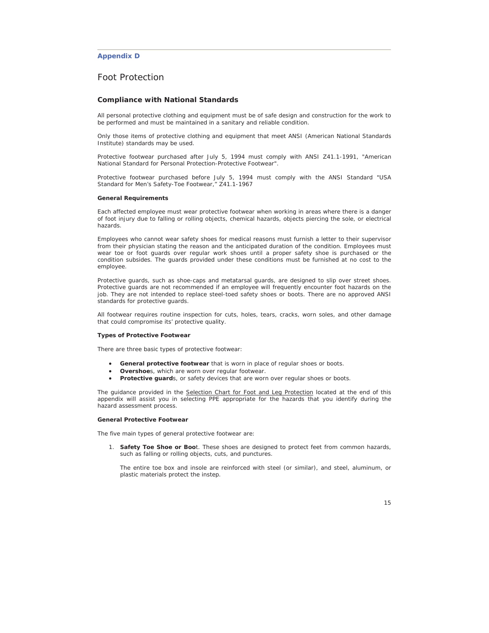## **Appendix D**

# Foot Protection

#### **Compliance with National Standards**

All personal protective clothing and equipment must be of safe design and construction for the work to be performed and must be maintained in a sanitary and reliable condition.

Only those items of protective clothing and equipment that meet ANSI (American National Standards Institute) standards may be used.

Protective footwear purchased after July 5, 1994 must comply with ANSI Z41.1-1991, "American National Standard for Personal Protection-Protective Footwear".

Protective footwear purchased before July 5, 1994 must comply with the ANSI Standard "USA Standard for Men's Safety-Toe Footwear," Z41.1-1967

#### **General Requirements**

Each affected employee must wear protective footwear when working in areas where there is a danger of foot injury due to falling or rolling objects, chemical hazards, objects piercing the sole, or electrical hazards.

Employees who cannot wear safety shoes for medical reasons must furnish a letter to their supervisor from their physician stating the reason and the anticipated duration of the condition. Employees must wear toe or foot guards over regular work shoes until a proper safety shoe is purchased or the condition subsides. The guards provided under these conditions must be furnished at no cost to the employee.

Protective guards, such as shoe-caps and metatarsal guards, are designed to slip over street shoes. Protective guards are not recommended if an employee will frequently encounter foot hazards on the job. They are not intended to replace steel-toed safety shoes or boots. There are no approved ANSI standards for protective guards.

All footwear requires routine inspection for cuts, holes, tears, cracks, worn soles, and other damage that could compromise its' protective quality.

#### **Types of Protective Footwear**

There are three basic types of protective footwear:

- General protective footwear that is worn in place of regular shoes or boots.
- **Overshoe**s, which are worn over regular footwear.
- Protective guards, or safety devices that are worn over regular shoes or boots.

The guidance provided in the Selection Chart for Foot and Leg Protection located at the end of this appendix will assist you in selecting PPE appropriate for the hazards that you identify during the hazard assessment process.

#### **General Protective Footwear**

The five main types of general protective footwear are:

1. **Safety Toe Shoe or Boo**t. These shoes are designed to protect feet from common hazards, such as falling or rolling objects, cuts, and punctures.

The entire toe box and insole are reinforced with steel (or similar), and steel, aluminum, or plastic materials protect the instep.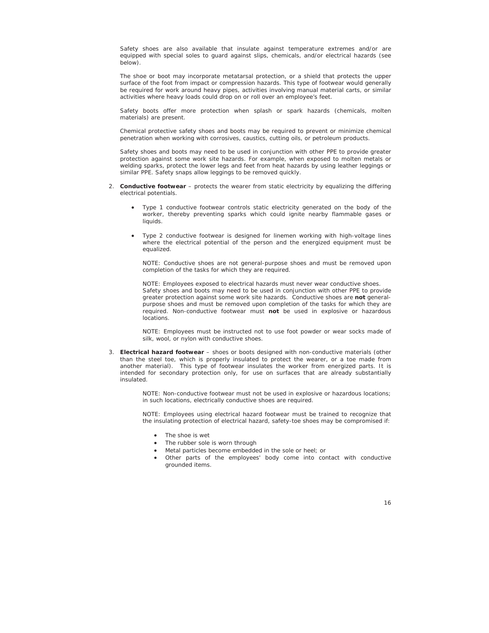Safety shoes are also available that insulate against temperature extremes and/or are equipped with special soles to guard against slips, chemicals, and/or electrical hazards (see below).

The shoe or boot may incorporate metatarsal protection, or a shield that protects the upper surface of the foot from impact or compression hazards. This type of footwear would generally be required for work around heavy pipes, activities involving manual material carts, or similar activities where heavy loads could drop on or roll over an employee's feet.

Safety boots offer more protection when splash or spark hazards (chemicals, molten materials) are present.

Chemical protective safety shoes and boots may be required to prevent or minimize chemical penetration when working with corrosives, caustics, cutting oils, or petroleum products.

Safety shoes and boots may need to be used in conjunction with other PPE to provide greater protection against some work site hazards. For example, when exposed to molten metals or welding sparks, protect the lower legs and feet from heat hazards by using leather leggings or similar PPE. Safety snaps allow leggings to be removed quickly.

- 2. **Conductive footwear**  protects the wearer from static electricity by equalizing the differing electrical potentials.
	- Type 1 conductive footwear controls static electricity generated on the body of the worker, thereby preventing sparks which could ignite nearby flammable gases or liquids.
	- Type 2 conductive footwear is designed for linemen working with high-voltage lines where the electrical potential of the person and the energized equipment must be equalized.

*NOTE*: Conductive shoes are not general-purpose shoes and must be removed upon completion of the tasks for which they are required.

*NOTE*: Employees exposed to electrical hazards must never wear conductive shoes. Safety shoes and boots may need to be used in conjunction with other PPE to provide greater protection against some work site hazards. Conductive shoes are **not** generalpurpose shoes and must be removed upon completion of the tasks for which they are required. Non-conductive footwear must **not** be used in explosive or hazardous locations.

*NOTE*: Employees must be instructed not to use foot powder or wear socks made of silk, wool, or nylon with conductive shoes.

3. **Electrical hazard footwear** – shoes or boots designed with non-conductive materials (other than the steel toe, which is properly insulated to protect the wearer, or a toe made from another material). This type of footwear insulates the worker from energized parts. It is intended for secondary protection only, for use on surfaces that are already substantially insulated.

> *NOTE*: Non-conductive footwear must not be used in explosive or hazardous locations; in such locations, *electrically conductive* shoes are required.

> *NOTE*: Employees using electrical hazard footwear must be trained to recognize that the insulating protection of electrical hazard, safety-toe shoes may be compromised if:

- The shoe is wet
- The rubber sole is worn through
- Metal particles become embedded in the sole or heel; or
- Other parts of the employees' body come into contact with conductive grounded items.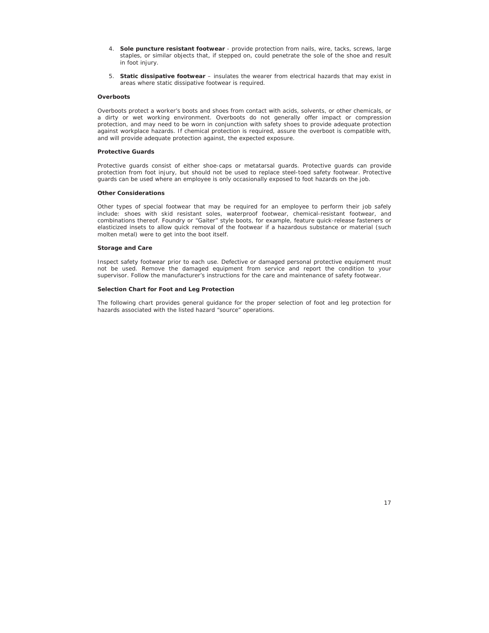- 4. **Sole puncture resistant footwear**  provide protection from nails, wire, tacks, screws, large staples, or similar objects that, if stepped on, could penetrate the sole of the shoe and result in foot injury.
- 5. **Static dissipative footwear**  insulates the wearer from electrical hazards that may exist in areas where static dissipative footwear is required.

#### **Overboots**

Overboots protect a worker's boots and shoes from contact with acids, solvents, or other chemicals, or a dirty or wet working environment. Overboots do not generally offer impact or compression protection, and may need to be worn in conjunction with safety shoes to provide adequate protection against workplace hazards. If chemical protection is required, assure the overboot is compatible with, and will provide adequate protection against, the expected exposure.

#### **Protective Guards**

Protective guards consist of either shoe-caps or metatarsal guards. Protective guards can provide protection from foot injury, but should not be used to replace steel-toed safety footwear. Protective guards can be used where an employee is only occasionally exposed to foot hazards on the job.

## **Other Considerations**

Other types of special footwear that may be required for an employee to perform their job safely include: shoes with skid resistant soles, waterproof footwear, chemical-resistant footwear, and combinations thereof. Foundry or "Gaiter" style boots, for example, feature quick-release fasteners or elasticized insets to allow quick removal of the footwear if a hazardous substance or material (such molten metal) were to get into the boot itself.

#### **Storage and Care**

Inspect safety footwear prior to each use. Defective or damaged personal protective equipment must not be used. Remove the damaged equipment from service and report the condition to your supervisor. Follow the manufacturer's instructions for the care and maintenance of safety footwear.

## **Selection Chart for Foot and Leg Protection**

The following chart provides general guidance for the proper selection of foot and leg protection for hazards associated with the listed hazard "source" operations.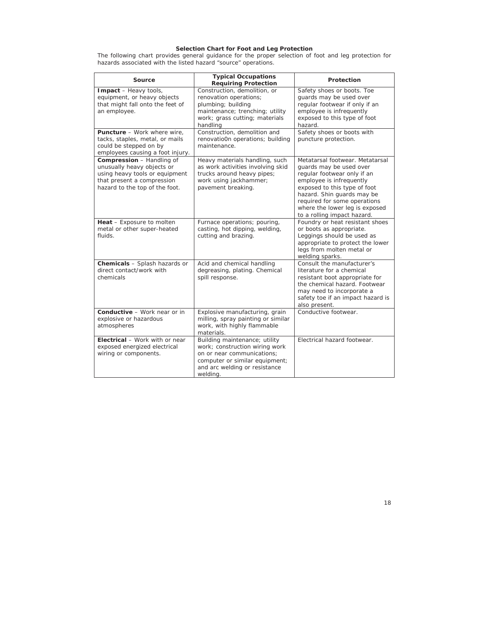#### **Selection Chart for Foot and Leg Protection**

The following chart provides general guidance for the proper selection of foot and leg protection for hazards associated with the listed hazard "source" operations.

| Source                                                                                                                                                           | <b>Typical Occupations</b><br><b>Requiring Protection</b>                                                                                                                    | Protection                                                                                                                                                                                                                                                                           |
|------------------------------------------------------------------------------------------------------------------------------------------------------------------|------------------------------------------------------------------------------------------------------------------------------------------------------------------------------|--------------------------------------------------------------------------------------------------------------------------------------------------------------------------------------------------------------------------------------------------------------------------------------|
| Impact - Heavy tools,<br>equipment, or heavy objects<br>that might fall onto the feet of<br>an employee.                                                         | Construction, demolition, or<br>renovation operations;<br>plumbing; building<br>maintenance; trenching; utility<br>work; grass cutting; materials<br>handling                | Safety shoes or boots. Toe<br>guards may be used over<br>regular footwear if only if an<br>employee is infrequently<br>exposed to this type of foot<br>hazard.                                                                                                                       |
| Puncture - Work where wire,<br>tacks, staples, metal, or mails<br>could be stepped on by<br>employees causing a foot injury.                                     | Construction, demolition and<br>renovatio0n operations; building<br>maintenance.                                                                                             | Safety shoes or boots with<br>puncture protection.                                                                                                                                                                                                                                   |
| <b>Compression</b> - Handling of<br>unusually heavy objects or<br>using heavy tools or equipment<br>that present a compression<br>hazard to the top of the foot. | Heavy materials handling, such<br>as work activities involving skid<br>trucks around heavy pipes;<br>work using jackhammer;<br>pavement breaking.                            | Metatarsal footwear. Metatarsal<br>guards may be used over<br>regular footwear only if an<br>employee is infrequently<br>exposed to this type of foot<br>hazard. Shin quards may be<br>required for some operations<br>where the lower leg is exposed<br>to a rolling impact hazard. |
| Heat - Exposure to molten<br>metal or other super-heated<br><i><b>a</b></i> Fluids                                                                               | Furnace operations; pouring,<br>casting, hot dipping, welding,<br>cutting and brazing.                                                                                       | Foundry or heat resistant shoes<br>or boots as appropriate.<br>Leggings should be used as<br>appropriate to protect the lower<br>legs from molten metal or<br>welding sparks.                                                                                                        |
| Chemicals - Splash hazards or<br>direct contact/work with<br>chemicals                                                                                           | Acid and chemical handling<br>degreasing, plating. Chemical<br>spill response.                                                                                               | Consult the manufacturer's<br>literature for a chemical<br>resistant boot appropriate for<br>the chemical hazard. Footwear<br>may need to incorporate a<br>safety toe if an impact hazard is<br>also present.                                                                        |
| <b>Conductive - Work near or in</b><br>explosive or hazardous<br>atmospheres                                                                                     | Explosive manufacturing, grain<br>milling, spray painting or similar<br>work, with highly flammable<br>materials.                                                            | Conductive footwear.                                                                                                                                                                                                                                                                 |
| Electrical - Work with or near<br>exposed energized electrical<br>wiring or components.                                                                          | Building maintenance; utility<br>work; construction wiring work<br>on or near communications:<br>computer or similar equipment;<br>and arc welding or resistance<br>welding. | Electrical hazard footwear.                                                                                                                                                                                                                                                          |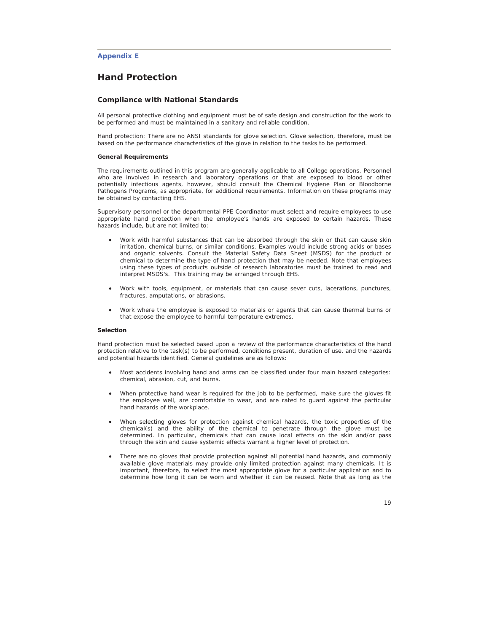## **Appendix E**

# **Hand Protection**

#### **Compliance with National Standards**

All personal protective clothing and equipment must be of safe design and construction for the work to be performed and must be maintained in a sanitary and reliable condition.

Hand protection: There are no ANSI standards for glove selection. Glove selection, therefore, must be based on the performance characteristics of the glove in relation to the tasks to be performed.

## **General Requirements**

The requirements outlined in this program are generally applicable to all College operations. Personnel who are involved in research and laboratory operations or that are exposed to blood or other potentially infectious agents, however, should consult the Chemical Hygiene Plan or Bloodborne Pathogens Programs, as appropriate, for additional requirements. Information on these programs may be obtained by contacting EHS.

Supervisory personnel or the departmental PPE Coordinator must select and require employees to use appropriate hand protection when the employee's hands are exposed to certain hazards. These hazards include, but are not limited to:

- Work with harmful substances that can be absorbed through the skin or that can cause skin irritation, chemical burns, or similar conditions. Examples would include strong acids or bases and organic solvents. Consult the Material Safety Data Sheet (MSDS) for the product or chemical to determine the type of hand protection that may be needed. Note that employees using these types of products outside of research laboratories must be trained to read and interpret MSDS's. This training may be arranged through EHS.
- Work with tools, equipment, or materials that can cause sever cuts, lacerations, punctures, fractures, amputations, or abrasions.
- Work where the employee is exposed to materials or agents that can cause thermal burns or that expose the employee to harmful temperature extremes.

#### **Selection**

Hand protection must be selected based upon a review of the performance characteristics of the hand protection relative to the task(s) to be performed, conditions present, duration of use, and the hazards and potential hazards identified. General guidelines are as follows:

- Most accidents involving hand and arms can be classified under four main hazard categories: chemical, abrasion, cut, and burns.
- When protective hand wear is required for the job to be performed, make sure the gloves fit the employee well, are comfortable to wear, and are rated to guard against the particular hand hazards of the workplace.
- When selecting gloves for protection against chemical hazards, the toxic properties of the chemical(s) and the ability of the chemical to penetrate through the glove must be determined. In particular, chemicals that can cause local effects on the skin and/or pass through the skin and cause systemic effects warrant a higher level of protection.
- x There are no gloves that provide protection against *all* potential hand hazards, and commonly available glove materials may provide only limited protection against many chemicals. It is important, therefore, to select the most appropriate glove for a particular application and to determine how long it can be worn and whether it can be reused. Note that as long as the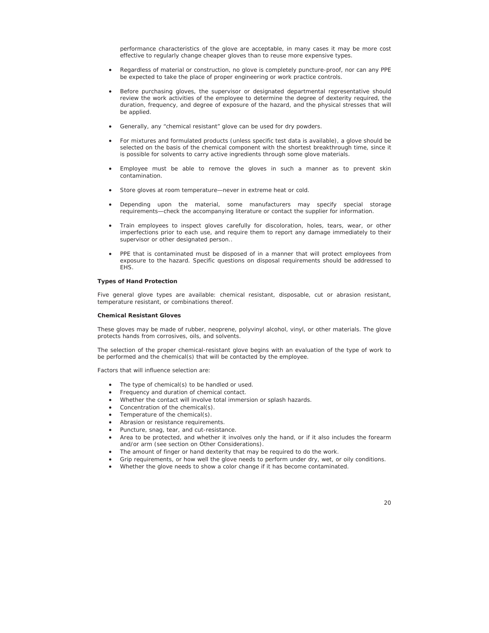performance characteristics of the glove are acceptable, in many cases it may be more cost effective to regularly change cheaper gloves than to reuse more expensive types.

- x Regardless of material or construction, no glove is completely puncture-proof, nor can any PPE be expected to take the place of proper engineering or work practice controls.
- Before purchasing gloves, the supervisor or designated departmental representative should review the work activities of the employee to determine the degree of dexterity required, the duration, frequency, and degree of exposure of the hazard, and the physical stresses that will be applied.
- Generally, any "chemical resistant" glove can be used for dry powders.
- For mixtures and formulated products (unless specific test data is available), a glove should be selected on the basis of the chemical component with the shortest breakthrough time, since it is possible for solvents to carry active ingredients through some glove materials.
- Employee must be able to remove the gloves in such a manner as to prevent skin contamination.
- Store gloves at room temperature—never in extreme heat or cold.
- Depending upon the material, some manufacturers may specify special storage requirements—check the accompanying literature or contact the supplier for information.
- Train employees to inspect gloves carefully for discoloration, holes, tears, wear, or other imperfections prior to each use, and require them to report any damage immediately to their supervisor or other designated person..
- PPE that is contaminated must be disposed of in a manner that will protect employees from exposure to the hazard. Specific questions on disposal requirements should be addressed to EHS.

## **Types of Hand Protection**

Five general glove types are available: chemical resistant, disposable, cut or abrasion resistant, temperature resistant, or combinations thereof.

#### **Chemical Resistant Gloves**

These gloves may be made of rubber, neoprene, polyvinyl alcohol, vinyl, or other materials. The glove protects hands from corrosives, oils, and solvents.

The selection of the proper chemical-resistant glove begins with an evaluation of the type of work to be performed and the chemical(s) that will be contacted by the employee.

Factors that will influence selection are:

- The type of chemical(s) to be handled or used.
- Frequency and duration of chemical contact.
- x Whether the contact will involve total immersion or splash hazards.
- Concentration of the chemical(s).
- Temperature of the chemical(s).
- Abrasion or resistance requirements.
- Puncture, snag, tear, and cut-resistance.
- Area to be protected, and whether it involves only the hand, or if it also includes the forearm and/or arm (see section on Other Considerations).
- The amount of finger or hand dexterity that may be required to do the work.
- Grip requirements, or how well the glove needs to perform under dry, wet, or oily conditions.
- Whether the glove needs to show a color change if it has become contaminated.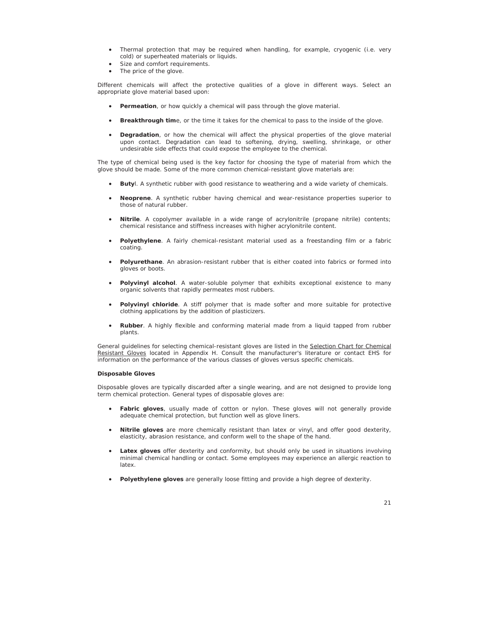- Thermal protection that may be required when handling, for example, cryogenic (i.e. very cold) or superheated materials or liquids.
- Size and comfort requirements.
- The price of the glove.

Different chemicals will affect the protective qualities of a glove in different ways. Select an appropriate glove material based upon:

- **•** Permeation, or how quickly a chemical will pass through the glove material.
- **Breakthrough time**, or the time it takes for the chemical to pass to the inside of the glove.
- **•** Degradation, or how the chemical will affect the physical properties of the glove material upon contact. Degradation can lead to softening, drying, swelling, shrinkage, or other undesirable side effects that could expose the employee to the chemical.

The type of chemical being used is the key factor for choosing the type of material from which the glove should be made. Some of the more common chemical-resistant glove materials are:

- **Buty**l. A synthetic rubber with good resistance to weathering and a wide variety of chemicals.
- x **Neoprene**. A synthetic rubber having chemical and wear-resistance properties superior to those of natural rubber.
- x **Nitrile**. A copolymer available in a wide range of acrylonitrile (propane nitrile) contents; chemical resistance and stiffness increases with higher acrylonitrile content.
- Polyethylene. A fairly chemical-resistant material used as a freestanding film or a fabric coating.
- x **Polyurethane**. An abrasion-resistant rubber that is either coated into fabrics or formed into gloves or boots.
- Polyvinyl alcohol. A water-soluble polymer that exhibits exceptional existence to many organic solvents that rapidly permeates most rubbers.
- **Polyvinyl chloride**. A stiff polymer that is made softer and more suitable for protective clothing applications by the addition of plasticizers.
- **•** Rubber. A highly flexible and conforming material made from a liquid tapped from rubber plants.

General guidelines for selecting chemical-resistant gloves are listed in the Selection Chart for Chemical Resistant Gloves located in Appendix H. Consult the manufacturer's literature or contact EHS for information on the performance of the various classes of gloves versus specific chemicals.

## **Disposable Gloves**

Disposable gloves are typically discarded after a single wearing, and are not designed to provide long term chemical protection. General types of disposable gloves are:

- **Fabric gloves**, usually made of cotton or nylon. These gloves will not generally provide adequate chemical protection, but function well as glove liners.
- x **Nitrile gloves** are more chemically resistant than latex or vinyl, and offer good dexterity, elasticity, abrasion resistance, and conform well to the shape of the hand.
- Latex gloves offer dexterity and conformity, but should only be used in situations involving minimal chemical handling or contact. Some employees may experience an allergic reaction to latex.
- Polyethylene gloves are generally loose fitting and provide a high degree of dexterity.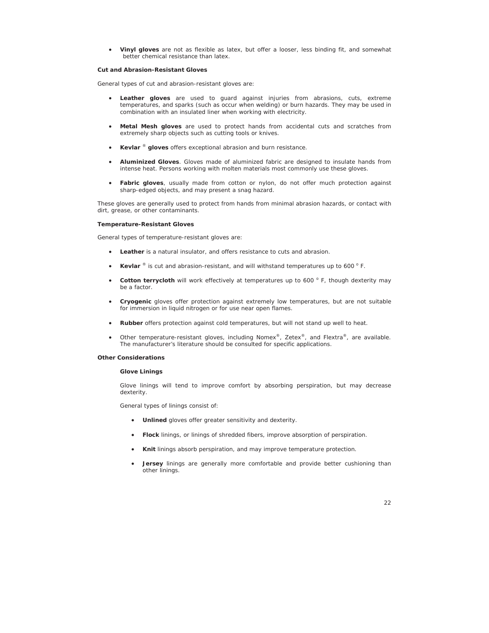x **Vinyl gloves** are not as flexible as latex, but offer a looser, less binding fit, and somewhat better chemical resistance than latex.

## **Cut and Abrasion-Resistant Gloves**

General types of cut and abrasion-resistant gloves are:

- **•** Leather gloves are used to guard against injuries from abrasions, cuts, extreme temperatures, and sparks (such as occur when welding) or burn hazards. They may be used in combination with an insulated liner when working with electricity.
- x **Metal Mesh gloves** are used to protect hands from accidental cuts and scratches from extremely sharp objects such as cutting tools or knives.
- x **Kevlar** ® **gloves** offers exceptional abrasion and burn resistance.
- x **Aluminized Gloves**. Gloves made of aluminized fabric are designed to insulate hands from intense heat. Persons working with molten materials most commonly use these gloves.
- Fabric gloves, usually made from cotton or nylon, do not offer much protection against sharp-edged objects, and may present a snag hazard.

These gloves are generally used to protect from hands from minimal abrasion hazards, or contact with dirt, grease, or other contaminants.

## **Temperature-Resistant Gloves**

General types of temperature-resistant gloves are:

- Leather is a natural insulator, and offers resistance to cuts and abrasion.
- **Kevlar**  $\textdegree$  is cut and abrasion-resistant, and will withstand temperatures up to 600  $\textdegree$  F.
- Cotton terrycloth will work effectively at temperatures up to 600 °F, though dexterity may be a factor.
- Cryogenic gloves offer protection against extremely low temperatures, but are not suitable for immersion in liquid nitrogen or for use near open flames.
- x **Rubber** offers protection against cold temperatures, but will not stand up well to heat.
- Other temperature-resistant gloves, including Nomex®, Zetex®, and Flextra®, are available. The manufacturer's literature should be consulted for specific applications.

#### **Other Considerations**

#### **Glove Linings**

Glove linings will tend to improve comfort by absorbing perspiration, but may decrease dexterity.

General types of linings consist of:

- **•** Unlined gloves offer greater sensitivity and dexterity.
- **•** Flock linings, or linings of shredded fibers, improve absorption of perspiration.
- x **Knit** linings absorb perspiration, and may improve temperature protection.
- **Jersey** linings are generally more comfortable and provide better cushioning than other linings.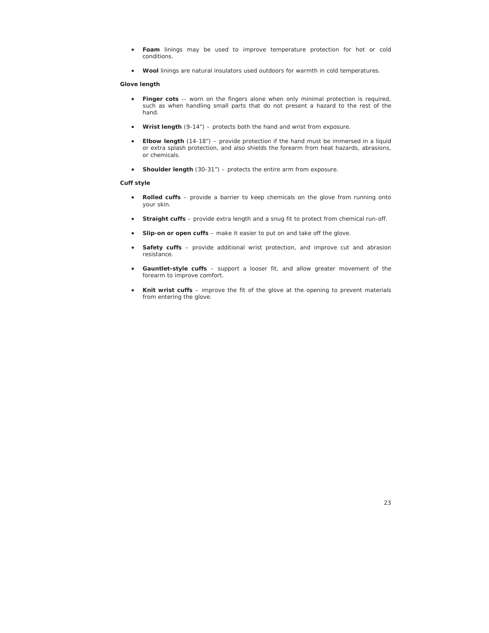- x **Foam** linings may be used to improve temperature protection for hot or cold conditions.
- x **Wool** linings are natural insulators used outdoors for warmth in cold temperatures.

## **Glove length**

- **Finger cots** -- worn on the fingers alone when only minimal protection is required, such as when handling small parts that do not present a hazard to the rest of the hand.
- x **Wrist length** (9-14") protects both the hand and wrist from exposure.
- **Elbow length** (14-18") provide protection if the hand must be immersed in a liquid or extra splash protection, and also shields the forearm from heat hazards, abrasions, or chemicals.
- **•** Shoulder length (30-31") protects the entire arm from exposure.

## **Cuff style**

- Rolled cuffs provide a barrier to keep chemicals on the glove from running onto your skin.
- **Straight cuffs** provide extra length and a snug fit to protect from chemical run-off.
- **Slip-on or open cuffs** make it easier to put on and take off the glove.
- **Safety cuffs** provide additional wrist protection, and improve cut and abrasion resistance.
- Gauntlet-style cuffs support a looser fit, and allow greater movement of the forearm to improve comfort.
- Knit wrist cuffs improve the fit of the glove at the opening to prevent materials from entering the glove.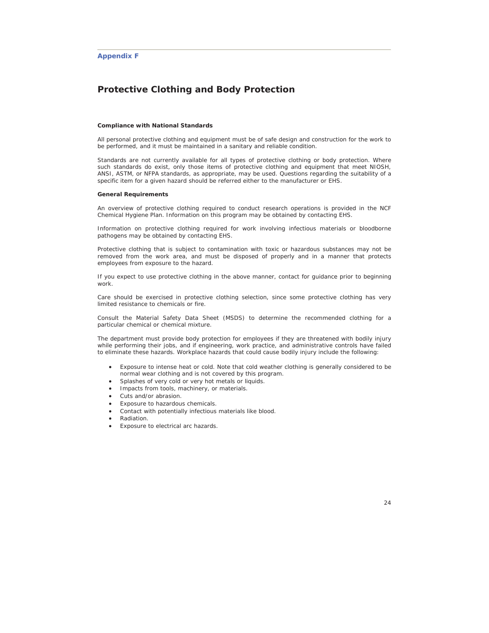# **Protective Clothing and Body Protection**

#### **Compliance with National Standards**

All personal protective clothing and equipment must be of safe design and construction for the work to be performed, and it must be maintained in a sanitary and reliable condition.

Standards are not currently available for all types of protective clothing or body protection. Where such standards do exist, only those items of protective clothing and equipment that meet *NIOS*H, *ANS*I, *AST*M, or *NFPA* standards, as appropriate, may be used. Questions regarding the suitability of a specific item for a given hazard should be referred either to the manufacturer or EHS.

## **General Requirements**

An overview of protective clothing required to conduct research operations is provided in the NCF Chemical Hygiene Plan. Information on this program may be obtained by contacting EHS.

Information on protective clothing required for work involving infectious materials or bloodborne pathogens may be obtained by contacting EHS.

Protective clothing that is subject to contamination with toxic or hazardous substances may not be removed from the work area, and must be disposed of properly and in a manner that protects employees from exposure to the hazard.

If you expect to use protective clothing in the above manner, contact for guidance prior to beginning work.

Care should be exercised in protective clothing selection, since some protective clothing has very limited resistance to chemicals or fire.

Consult the Material Safety Data Sheet (MSDS) to determine the recommended clothing for a particular chemical or chemical mixture.

The department must provide body protection for employees if they are threatened with bodily injury while performing their jobs, and if engineering, work practice, and administrative controls have failed to eliminate these hazards. Workplace hazards that could cause bodily injury include the following:

- x Exposure to intense heat or cold. Note that cold weather clothing is generally considered to be normal wear clothing and is not covered by this program.
- Splashes of very cold or very hot metals or liquids.
- Impacts from tools, machinery, or materials.
- Cuts and/or abrasion.
- Exposure to hazardous chemicals.
- **•** Contact with potentially infectious materials like blood.
- x Radiation.
- Exposure to electrical arc hazards.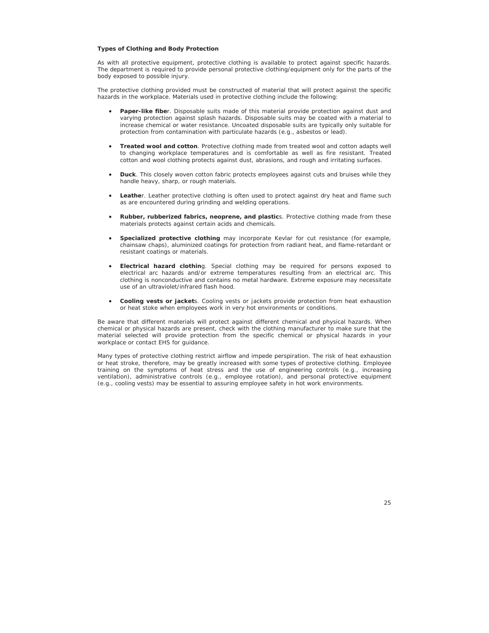#### **Types of Clothing and Body Protection**

As with all protective equipment, protective clothing is available to protect against specific hazards. The department is required to provide personal protective clothing/equipment only for the parts of the body exposed to possible injury.

The protective clothing provided must be constructed of material that will protect against the specific hazards in the workplace. Materials used in protective clothing include the following:

- Paper-like fiber. Disposable suits made of this material provide protection against dust and varying protection against splash hazards. Disposable suits may be coated with a material to increase chemical or water resistance. Uncoated disposable suits are typically only suitable for protection from contamination with particulate hazards (e.g., asbestos or lead).
- **Treated wool and cotton**. Protective clothing made from treated wool and cotton adapts well to changing workplace temperatures and is comfortable as well as fire resistant. Treated cotton and wool clothing protects against dust, abrasions, and rough and irritating surfaces.
- **•** Duck. This closely woven cotton fabric protects employees against cuts and bruises while they handle heavy, sharp, or rough materials.
- Leather. Leather protective clothing is often used to protect against dry heat and flame such as are encountered during grinding and welding operations.
- x **Rubber, rubberized fabrics, neoprene, and plastic**s. Protective clothing made from these materials protects against certain acids and chemicals.
- x **Specialized protective clothing** may incorporate Kevlar for cut resistance (for example, chainsaw chaps), aluminized coatings for protection from radiant heat, and flame-retardant or resistant coatings or materials.
- **Electrical hazard clothin**g. Special clothing may be required for persons exposed to electrical arc hazards and/or extreme temperatures resulting from an electrical arc. This clothing is nonconductive and contains no metal hardware. Extreme exposure may necessitate use of an ultraviolet/infrared flash hood.
- **Cooling vests or jacket**s. Cooling vests or jackets provide protection from heat exhaustion or heat stoke when employees work in very hot environments or conditions.

Be aware that different materials will protect against different chemical and physical hazards. When chemical or physical hazards are present, check with the clothing manufacturer to make sure that the material selected will provide protection from the specific chemical or physical hazards in your workplace or contact EHS for guidance.

Many types of protective clothing restrict airflow and impede perspiration. The risk of heat exhaustion or heat stroke, therefore, may be greatly increased with some types of protective clothing. Employee training on the symptoms of heat stress and the use of engineering controls (e.g., increasing ventilation), administrative controls (e.g., employee rotation), and personal protective equipment (e.g., cooling vests) may be essential to assuring employee safety in hot work environments.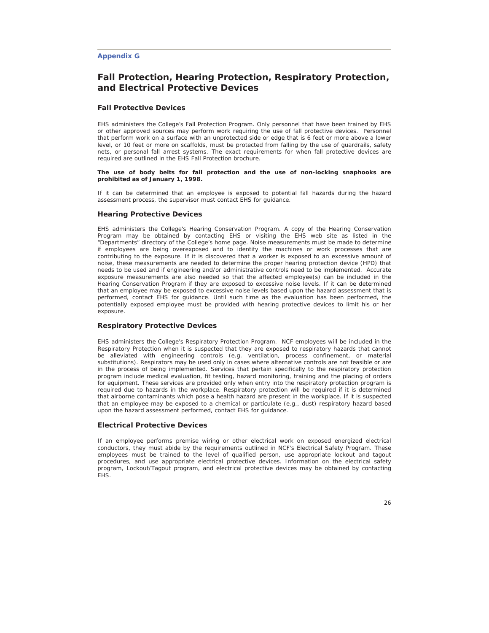## **Appendix G**

# **Fall Protection, Hearing Protection, Respiratory Protection, and Electrical Protective Devices**

## **Fall Protective Devices**

EHS administers the College's Fall Protection Program. Only personnel that have been trained by EHS or other approved sources may perform work requiring the use of fall protective devices. Personnel that perform work on a surface with an unprotected side or edge that is 6 feet or more above a lower level, or 10 feet or more on scaffolds, must be protected from falling by the use of guardrails, safety nets, or personal fall arrest systems. The exact requirements for when fall protective devices are required are outlined in the EHS Fall Protection brochure.

#### **The use of body belts for fall protection and the use of non-locking snaphooks are prohibited as of January 1, 1998.**

If it can be determined that an employee is exposed to potential fall hazards during the hazard assessment process, the supervisor must contact EHS for guidance.

## **Hearing Protective Devices**

EHS administers the College's Hearing Conservation Program. A copy of the Hearing Conservation Program may be obtained by contacting EHS or visiting the EHS web site as listed in the "Departments" directory of the College's home page. Noise measurements must be made to determine if employees are being overexposed and to identify the machines or work processes that are contributing to the exposure. If it is discovered that a worker is exposed to an excessive amount of noise, these measurements are needed to determine the proper hearing protection device (HPD) that needs to be used and if engineering and/or administrative controls need to be implemented. Accurate exposure measurements are also needed so that the affected employee(s) can be included in the Hearing Conservation Program if they are exposed to excessive noise levels. If it can be determined that an employee may be exposed to excessive noise levels based upon the hazard assessment that is performed, contact EHS for guidance. Until such time as the evaluation has been performed, the potentially exposed employee must be provided with hearing protective devices to limit his or her exposure.

## **Respiratory Protective Devices**

EHS administers the College's Respiratory Protection Program. NCF employees will be included in the Respiratory Protection when it is suspected that they are exposed to respiratory hazards that cannot be alleviated with engineering controls (e.g. ventilation, process confinement, or material substitutions). Respirators may be used only in cases where alternative controls are not feasible or are in the process of being implemented. Services that pertain specifically to the respiratory protection program include medical evaluation, fit testing, hazard monitoring, training and the placing of orders for equipment. These services are provided only when entry into the respiratory protection program is required due to hazards in the workplace. Respiratory protection will be required if it is determined that airborne contaminants which pose a health hazard are present in the workplace. If it is suspected that an employee may be exposed to a chemical or particulate (e.g., dust) respiratory hazard based upon the hazard assessment performed, contact EHS for guidance.

## **Electrical Protective Devices**

If an employee performs premise wiring or other electrical work on exposed energized electrical conductors, they must abide by the requirements outlined in NCF's Electrical Safety Program. These employees must be trained to the level of *qualified perso*n, use appropriate lockout and tagout procedures, and use appropriate electrical protective devices. Information on the electrical safety program, Lockout/Tagout program, and electrical protective devices may be obtained by contacting EHS.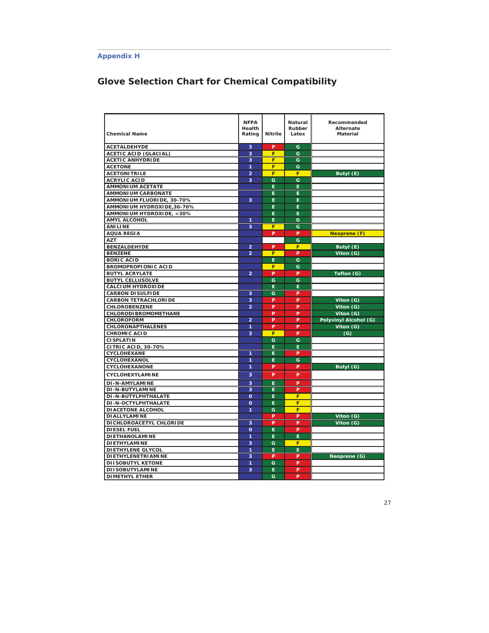# **Appendix H**

# **Glove Selection Chart for Chemical Compatibility**

| <b>Chemical Name</b>         | <b>NFPA</b><br>Health<br>Rating | <b>Nitrile</b> | Natural<br>Rubber<br>Latex | Recommended<br><b>Alternate</b><br><b>Material</b> |
|------------------------------|---------------------------------|----------------|----------------------------|----------------------------------------------------|
| <b>ACETALDEHYDE</b>          | 3                               | P              | G                          |                                                    |
| <b>ACETIC ACID (GLACIAL)</b> | 3                               | F              | Ġ                          |                                                    |
| <b>ACETIC ANHYDRIDE</b>      | 3                               | F              | G                          |                                                    |
| <b>ACETONE</b>               | 1                               | F              | G                          |                                                    |
| <b>ACETONITRILE</b>          | $\overline{a}$                  | F              | F                          | Butyl (E)                                          |
| <b>ACRYLIC ACID</b>          | $\overline{\mathbf{3}}$         | Ğ              | G                          |                                                    |
| <b>AMMONIUM ACETATE</b>      |                                 | E              | E                          |                                                    |
| <b>AMMONIUM CARBONATE</b>    |                                 | Ė.             | E.                         |                                                    |
| AMMONIUM FLUORIDE, 30-70%    | 3                               | Ë              | Ë                          |                                                    |
| AMMONIUM HYDROXIDE, 30-70%   |                                 | E              | Ė                          |                                                    |
| AMMONIUM HYDROXIDE, <30%     |                                 | Ė.             | E.                         |                                                    |
| <b>AMYL ALCOHOL</b>          | 1                               | Ė              | Ġ                          |                                                    |
| <b>ANILINE</b>               | 3                               | F              | G                          |                                                    |
| <b>AQUA REGIA</b>            |                                 | Þ              | P                          | Neoprene (F)                                       |
| <b>AZT</b>                   |                                 |                | G                          |                                                    |
| <b>BENZALDEHYDE</b>          | $\overline{a}$                  | P              | F                          | Butyl (E)                                          |
| <b>BENZENE</b>               | $\overline{2}$                  | F              | P                          | Viton (G)                                          |
| <b>BORIC ACID</b>            |                                 | Ė              | G                          |                                                    |
| <b>BROMOPROPIONIC ACID</b>   |                                 | F              | Ġ                          |                                                    |
| <b>BUTYL ACRYLATE</b>        | $\overline{2}$                  | Þ              | P                          | Teflon (G)                                         |
| <b>BUTYL CELLUSOLVE</b>      |                                 | G              | Ġ                          |                                                    |
| <b>CALCIUM HYDROXIDE</b>     |                                 | E.             | E.                         |                                                    |
| <b>CARBON DISULFIDE</b>      | 3                               | G              | P                          |                                                    |
| <b>CARBON TETRACHLORIDE</b>  | 3                               | P              | P                          | Viton (G)                                          |
| <b>CHLOROBENZENE</b>         | $\overline{a}$                  | P              | P                          | Viton (G)                                          |
| <b>CHLORODI BROMOMETHANE</b> |                                 | P              | P                          | Viton (G)                                          |
| <b>CHLOROFORM</b>            | $\overline{a}$                  | Þ              | P                          | Polyvinyl Alcohol (G)                              |
| <b>CHLORONAPTHALENES</b>     | $\overline{1}$                  | P              | P                          | Viton (G)                                          |
| <b>CHROMIC ACID</b>          | 3                               | F              | Þ                          | (G)                                                |
| <b>CISPLATIN</b>             |                                 | Ġ              | Ġ                          |                                                    |
| <b>CITRIC ACID, 30-70%</b>   |                                 | E.             | Е                          |                                                    |
| CYCLOHEXANE                  | 1                               | E              | P                          |                                                    |
| CYCLOHEXANOL                 | 1                               | E.             | G                          |                                                    |
| CYCLOHEXANONE                | 1                               | P              | P                          | Butyl (G)                                          |
| <b>CYCLOHEXYLAMINE</b>       | 3                               | P              | P                          |                                                    |
| <b>DI-N-AMYLAMINE</b>        | 3                               | Ė.             | P                          |                                                    |
| <b>DI-N-BUTYLAMINE</b>       | 3                               | E.             | P                          |                                                    |
| DI-N-BUTYLPHTHALATE          | $\mathbf{o}$                    | Ē              | F                          |                                                    |
| DI-N-OCTYLPHTHALATE          | $\Omega$                        | E.             | F                          |                                                    |
| <b>DIACETONE ALCOHOL</b>     | 1                               | Ġ              | F                          |                                                    |
| <b>DIALLYLAMINE</b>          |                                 | P              | P                          | Viton (G)                                          |
| DICHLOROACETYL CHLORIDE      | 3                               | P              | P                          | Viton (G)                                          |
| <b>DIESEL FUEL</b>           | $\overline{O}$                  | Ė              | P                          |                                                    |
| <b>DIETHANOLAMINE</b>        | 1                               | Ė.             | E                          |                                                    |
| <b>DIETHYLAMINE</b>          | 3                               | G              | F                          |                                                    |
| <b>DIETHYLENE GLYCOL</b>     | 1                               | Ė.             | E                          |                                                    |
| <b>DIETHYLENETRIAMINE</b>    | 3                               | P              | P                          | Neoprene (G)                                       |
| <b>DIISOBUTYL KETONE</b>     | 1                               | G              | P                          |                                                    |
| <b>DIISOBUTYLAMINE</b>       | 3                               | Ē              | P                          |                                                    |
| <b>DIMETHYL ETHER</b>        |                                 | Ġ              | P                          |                                                    |
|                              |                                 |                |                            |                                                    |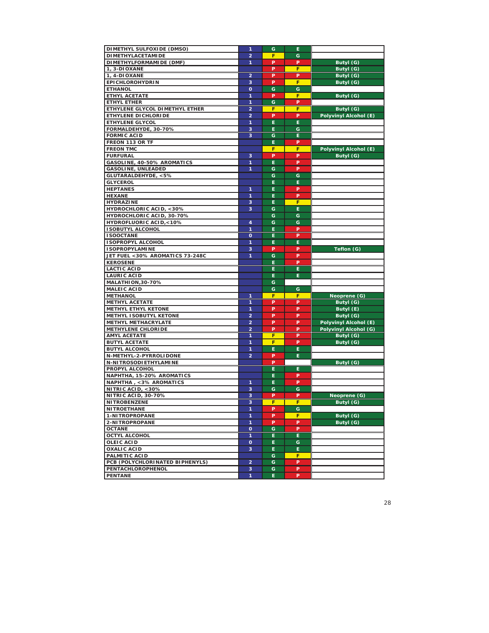| DIMETHYL SULFOXIDE (DMSO)        | 1                       | G  | Е  |                       |
|----------------------------------|-------------------------|----|----|-----------------------|
| <b>DIMETHYLACETAMIDE</b>         | $\overline{a}$          | F  | G  |                       |
| DIMETHYLFORMAMIDE (DMF)          | 1                       | P  | P  | Butyl (G)             |
| 1, 3-DIOXANE                     |                         | P  | F  | Butyl (G)             |
| 1, 4-DIOXANE                     | $\overline{\mathbf{c}}$ | P  | P  | Butyl (G)             |
| <b>EPICHLOROHYDRIN</b>           | 3                       | P  | F  | Butyl (G)             |
| <b>ETHANOL</b>                   | $\mathbf{o}$            | G  | G  |                       |
| <b>ETHYL ACETATE</b>             | 1                       | P  | F  | Butyl (G)             |
| ETHYL ETHER                      | 1                       | G  | P  |                       |
| ETHYLENE GLYCOL DIMETHYL ETHER   | $\overline{\mathbf{c}}$ | F  | F  | Butyl (G)             |
| ETHYLENE DICHLORIDE              | $\overline{a}$          | P  | P  | Polyvinyl Alcohol (E) |
| <b>ETHYLENE GLYCOL</b>           | 1                       | E  | E  |                       |
| FORMALDEHYDE, 30-70%             | 3                       | E  | G  |                       |
| <b>FORMIC ACID</b>               | 3                       | G  | Е  |                       |
| FREON 113 OR TF                  |                         | E  | P  |                       |
| <b>FREON TMC</b>                 |                         | F  | F  | Polyvinyl Alcohol (E) |
| <b>FURFURAL</b>                  | 3                       | P  | P  | Butyl (G)             |
| GASOLINE, 40-50% AROMATICS       | 1                       | E  | P  |                       |
| <b>GASOLINE, UNLEADED</b>        | 1                       | G  | P  |                       |
| GLUTARALDEHYDE, <5%              |                         | G  | G  |                       |
| <b>GLYCEROL</b>                  |                         | E  | Е  |                       |
| <b>HEPTANES</b>                  | $\mathbf{1}$            | E  | P  |                       |
| <b>HEXANE</b>                    | 1                       | E  | P  |                       |
| <b>HYDRAZINE</b>                 | 3                       | E  | F  |                       |
| HYDROCHLORIC ACID, <30%          | 3                       | G  | E  |                       |
| <b>HYDROCHLORIC ACID, 30-70%</b> |                         | G  | G  |                       |
| HYDROFLUORIC ACID,<10%           | $\overline{\mathbf{4}}$ | G  | G  |                       |
| <b>ISOBUTYL ALCOHOL</b>          | 1                       | E  | P  |                       |
| <b>ISOOCTANE</b>                 | $\mathbf{o}$            | E  | P  |                       |
| <b>I SOPROPYL ALCOHOL</b>        | 1                       | E  | E  |                       |
| <b>I SOPROPYLAMINE</b>           | 3                       | P  | P  | Teflon (G)            |
| JET FUEL <30% AROMATICS 73-248C  | $\mathbf{1}$            | G  | P  |                       |
| <b>KEROSENE</b>                  |                         | E  | P  |                       |
| <b>LACTIC ACID</b>               |                         | E  | E  |                       |
| <b>LAURIC ACID</b>               |                         | Е  | E  |                       |
| MALATHION, 30-70%                |                         | G  |    |                       |
| <b>MALEIC ACID</b>               |                         | G  | G  |                       |
| <b>METHANOL</b>                  | $\mathbf{1}$            | F  | F  | Neoprene (G)          |
| <b>METHYL ACETATE</b>            | 1                       | P  | P  | Butyl (G)             |
| <b>METHYL ETHYL KETONE</b>       | 1                       | P  | P  | Butyl (E)             |
| METHYL I SOBUTYL KETONE          | $\overline{\mathbf{c}}$ | P  | P  | Butyl (G)             |
| <b>METHYL METHACRYLATE</b>       | $\overline{a}$          | P  | P  | Polyvinyl Alcohol (E) |
| <b>METHYLENE CHLORIDE</b>        | $\overline{a}$          | P  | P  | Polyvinyl Alcohol (G) |
| <b>AMYL ACETATE</b>              | 1                       | F  | P  | Butyl (G)             |
| <b>BUTYL ACETATE</b>             | 1                       | F  | Þ  | Butyl (G)             |
| <b>BUTYL ALCOHOL</b>             | 1                       | E  | E  |                       |
| N-METHYL-2-PYRROLIDONE           | $\overline{a}$          | P  | E  |                       |
| N-NITROSODI ETHYLAMINE           |                         | P  |    | Butyl (G)             |
| PROPYL ALCOHOL                   |                         | E  | E  |                       |
| NAPHTHA, 15-20% AROMATICS        |                         | E  | P  |                       |
| NAPHTHA, <3% AROMATICS           | 1                       | E  | P  |                       |
| NITRIC ACID, <30%                | 3                       | G  | G  |                       |
| <b>NITRIC ACID, 30-70%</b>       | 3                       | P  | P  | Neoprene (G)          |
| <b>NITROBENZENE</b>              | 3                       | F  | F  | Butyl (G)             |
| <b>NITROETHANE</b>               | 1                       | P  | G  |                       |
| 1-NITROPROPANE                   | 1                       | P  | F  | Butyl (G)             |
| 2-NITROPROPANE                   | 1                       | P  | P  | Butyl (G)             |
| <b>OCTANE</b>                    | $\mathbf{o}$            | G  | P  |                       |
| <b>OCTYL ALCOHOL</b>             | 1                       | E  | E. |                       |
| <b>OLEIC ACID</b>                | $\mathbf{o}$            | E. | G  |                       |
| <b>OXALIC ACID</b>               | 3                       | E. | E. |                       |
| PALMITIC ACID                    |                         | G  | F. |                       |
| PCB (POLYCHLORINATED BIPHENYLS)  | $\overline{\mathbf{2}}$ | G  | P  |                       |
| PENTACHLOROPHENOL                | 3                       | G  | P  |                       |
| <b>PENTANE</b>                   | 1                       | Ė. | P  |                       |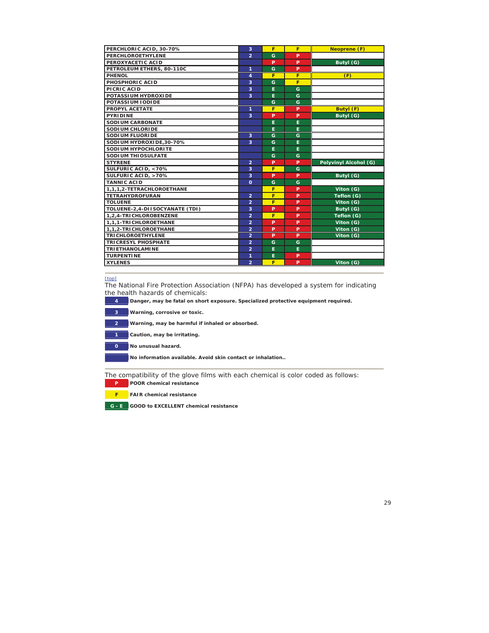| PERCHLORIC ACID, 30-70%        | 3                       | F | F | <b>Neoprene (F)</b>   |
|--------------------------------|-------------------------|---|---|-----------------------|
| PERCHLOROETHYLENE              | $\overline{2}$          | G | P |                       |
| PEROXYACETIC ACID              |                         | P | P | Butyl (G)             |
| PETROLEUM ETHERS, 80-110C      | 1                       | G | P |                       |
| PHENOL                         | 4                       | F | F | (F)                   |
| PHOSPHORIC ACID                | 3                       | G | F |                       |
| PICRIC ACID                    | 3                       | E | G |                       |
| POTASSIUM HYDROXIDE            | 3                       | E | G |                       |
| POTASSIUM IODIDE               |                         | G | G |                       |
| <b>PROPYL ACETATE</b>          | 1                       | F | P | Butyl (F)             |
| <b>PYRIDINE</b>                | $\overline{\mathbf{3}}$ | P | P | Butyl (G)             |
| <b>SODI UM CARBONATE</b>       |                         | E | E |                       |
| SODIUM CHLORIDE                |                         | Е | Е |                       |
| SODIUM FLUORIDE                | 3                       | G | G |                       |
| SODIUM HYDROXIDE.30-70%        | 3                       | G | E |                       |
| SODIUM HYPOCHLORITE            |                         | E | E |                       |
| SODIUM THIOSULFATE             |                         | G | G |                       |
| <b>STYRENE</b>                 | $\overline{2}$          | P | P | Polyvinyl Alcohol (G) |
| SULFURIC ACID, <70%            | 3                       | F | G |                       |
| SULFURIC ACID, >70%            | 3                       | P | P | Butyl (G)             |
| <b>TANNIC ACID</b>             | $\mathbf{o}$            | G | G |                       |
| 1.1.1.2-TETRACHLOROETHANE      |                         | F | P | Viton (G)             |
| <b>TETRAHYDROFURAN</b>         | $\overline{2}$          | F | P | Teflon (G)            |
| <b>TOLUENE</b>                 | $\overline{a}$          | F | P | Viton (G)             |
| TOLUENE-2,4-DIISOCYANATE (TDI) | 3                       | P | P | Butyl (G)             |
| 1,2,4-TRICHLOROBENZENE         | $\overline{a}$          | F | P | Teflon (G)            |
| 1.1.1-TRICHLOROETHANE          | $\overline{2}$          | P | P | Viton (G)             |
| 1,1,2-TRICHLOROETHANE          | $\overline{a}$          | P | P | Viton (G)             |
| <b>TRICHLOROETHYLENE</b>       | $\overline{2}$          | P | P | $Viton$ ( $G$ )       |
| <b>TRICRESYL PHOSPHATE</b>     | $\overline{2}$          | G | G |                       |
| <b>TRIETHANOLAMINE</b>         | $\overline{2}$          | E | E |                       |
| <b>TURPENTINE</b>              | 1                       | E | P |                       |
| <b>XYLENES</b>                 | $\overline{a}$          | F | P | Viton (G)             |
|                                |                         |   |   |                       |

## [top]

The National Fire Protection Association (NFPA) has developed a system for indicating the health hazards of chemicals:

**4** Danger, may be fatal on short exposure. Specialized protective equipment required.

**3 Warning, corrosive or toxic. 2 Warning, may be harmful if inhaled or absorbed. 1 Caution, may be irritating. 0 No unusual hazard. No information available. Avoid skin contact or inhalation..**

The compatibility of the glove films with each chemical is color coded as follows: **P POOR chemical resistance**

**F FAIR chemical resistance**

**G - E GOOD to EXCELLENT chemical resistance**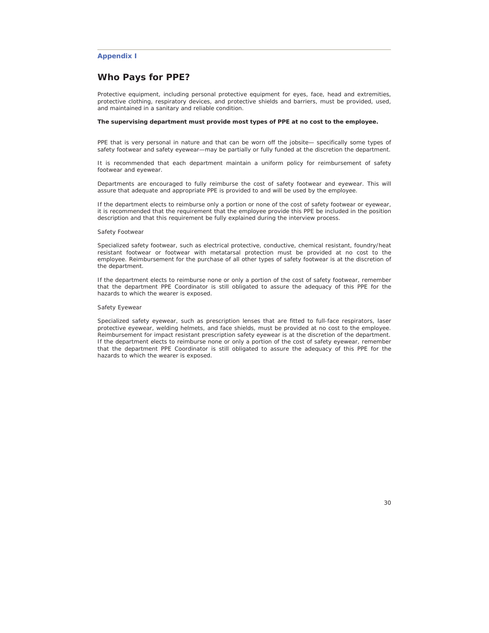# **Appendix I**

# **Who Pays for PPE?**

Protective equipment, including personal protective equipment for eyes, face, head and extremities, protective clothing, respiratory devices, and protective shields and barriers, must be provided, used, and maintained in a sanitary and reliable condition.

## **The supervising department must provide most types of PPE at no cost to the employee.**

PPE that is very personal in nature and that can be worn off the jobsite— specifically some types of safety footwear and safety eyewear—may be partially or fully funded at the discretion the department.

It is recommended that each department maintain a uniform policy for reimbursement of safety footwear and eyewear.

Departments are encouraged to fully reimburse the cost of safety footwear and eyewear. This will assure that adequate and appropriate PPE is provided to and will be used by the employee.

If the department elects to reimburse only a portion or none of the cost of safety footwear or eyewear, it is recommended that the requirement that the employee provide this PPE be included in the position description and that this requirement be fully explained during the interview process.

## Safety Footwear

Specialized safety footwear, such as electrical protective, conductive, chemical resistant, foundry/heat resistant footwear or footwear with metatarsal protection must be provided at no cost to the employee. Reimbursement for the purchase of all other types of safety footwear is at the discretion of the department.

If the department elects to reimburse none or only a portion of the cost of safety footwear, remember that the department PPE Coordinator is still obligated to assure the adequacy of this PPE for the hazards to which the wearer is exposed.

#### Safety Eyewear

Specialized safety eyewear, such as prescription lenses that are fitted to full-face respirators, laser protective eyewear, welding helmets, and face shields, must be provided at no cost to the employee. Reimbursement for impact resistant prescription safety eyewear is at the discretion of the department. If the department elects to reimburse none or only a portion of the cost of safety eyewear, remember that the department PPE Coordinator is still obligated to assure the adequacy of this PPE for the hazards to which the wearer is exposed.